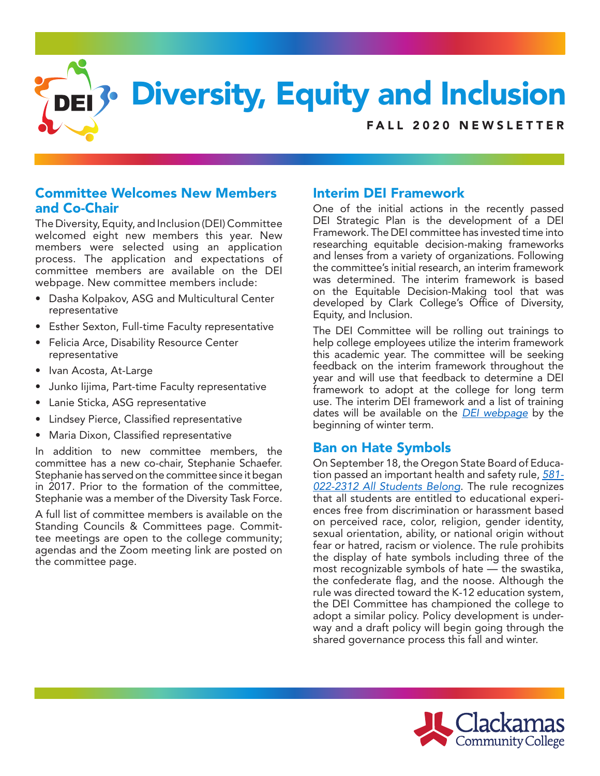

### Committee Welcomes New Members and Co-Chair

The Diversity, Equity, and Inclusion (DEI) Committee welcomed eight new members this year. New members were selected using an application process. The application and expectations of committee members are available on the DEI webpage. New committee members include:

- Dasha Kolpakov, ASG and Multicultural Center representative
- Esther Sexton, Full-time Faculty representative
- Felicia Arce, Disability Resource Center representative
- Ivan Acosta, At-Large
- Junko Iijima, Part-time Faculty representative
- Lanie Sticka, ASG representative
- Lindsey Pierce, Classified representative
- Maria Dixon, Classified representative

In addition to new committee members, the committee has a new co-chair, Stephanie Schaefer. Stephanie has served on the committee since it began in 2017. Prior to the formation of the committee, Stephanie was a member of the Diversity Task Force.

A full list of committee members is available on the Standing Councils & Committees page. Committee meetings are open to the college community; agendas and the Zoom meeting link are posted on the committee page.

# Interim DEI Framework

One of the initial actions in the recently passed DEI Strategic Plan is the development of a DEI Framework. The DEI committee has invested time into researching equitable decision-making frameworks and lenses from a variety of organizations. Following the committee's initial research, an interim framework was determined. The interim framework is based on the Equitable Decision-Making tool that was developed by Clark College's Office of Diversity, Equity, and Inclusion.

The DEI Committee will be rolling out trainings to help college employees utilize the interim framework this academic year. The committee will be seeking feedback on the interim framework throughout the year and will use that feedback to determine a DEI framework to adopt at the college for long term use. The interim DEI framework and a list of training dates will be available on the *DEI webpage* by the beginning of winter term.

## Ban on Hate Symbols

On September 18, the Oregon State Board of Education passed an important health and safety rule, *581- 022-2312 All Students Belong*. The rule recognizes that all students are entitled to educational experiences free from discrimination or harassment based on perceived race, color, religion, gender identity, sexual orientation, ability, or national origin without fear or hatred, racism or violence. The rule prohibits the display of hate symbols including three of the most recognizable symbols of hate — the swastika, the confederate flag, and the noose. Although the rule was directed toward the K-12 education system, the DEI Committee has championed the college to adopt a similar policy. Policy development is underway and a draft policy will begin going through the shared governance process this fall and winter.